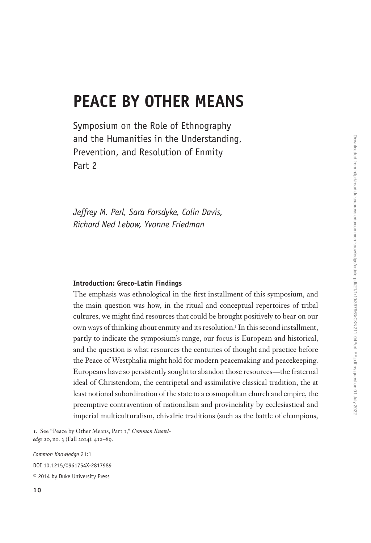## **PEACE BY OTHER MEANS**

Symposium on the Role of Ethnography and the Humanities in the Understanding, Prevention, and Resolution of Enmity Part 2

*Jeffrey M. Perl, Sara Forsdyke, Colin Davis, Richard Ned Lebow, Yvonne Friedman*

## **Introduction: Greco-Latin Findings**

The emphasis was ethnological in the first installment of this symposium, and the main question was how, in the ritual and conceptual repertoires of tribal cultures, we might find resources that could be brought positively to bear on our own ways of thinking about enmity and its resolution.<sup>1</sup> In this second installment, partly to indicate the symposium's range, our focus is European and historical, and the question is what resources the centuries of thought and practice before the Peace of Westphalia might hold for modern peacemaking and peacekeeping. Europeans have so persistently sought to abandon those resources—the fraternal ideal of Christendom, the centripetal and assimilative classical tradition, the at least notional subordination of the state to a cosmopolitan church and empire, the preemptive contravention of nationalism and provinciality by ecclesiastical and imperial multiculturalism, chivalric traditions (such as the battle of champions,

1. See "Peace by Other Means, Part 1," *Common Knowledge* 20, no. 3 (Fall 2014): 412–89.

*Common Knowledge* 21:1

DOI 10.1215/0961754X-2817989

© 2014 by Duke University Press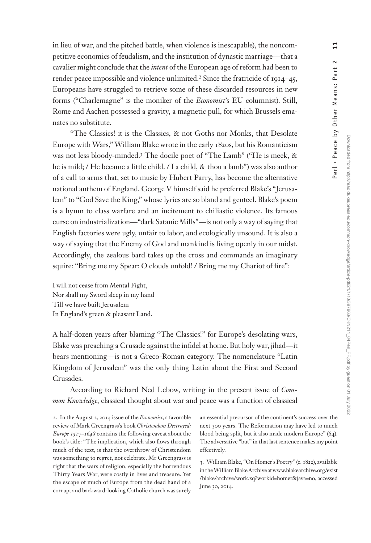in lieu of war, and the pitched battle, when violence is inescapable), the noncompetitive economics of feudalism, and the institution of dynastic marriage—that a cavalier might conclude that the *intent* of the European age of reform had been to render peace impossible and violence unlimited.2 Since the fratricide of 1914–45, Europeans have struggled to retrieve some of these discarded resources in new forms ("Charlemagne" is the moniker of the *Economist*'s EU columnist). Still, Rome and Aachen possessed a gravity, a magnetic pull, for which Brussels emanates no substitute.

"The Classics! it is the Classics, & not Goths nor Monks, that Desolate Europe with Wars," William Blake wrote in the early 1820s, but his Romanticism was not less bloody-minded.3 The docile poet of "The Lamb" ("He is meek, & he is mild; / He became a little child. / I a child, & thou a lamb") was also author of a call to arms that, set to music by Hubert Parry, has become the alternative national anthem of England. George V himself said he preferred Blake's "Jerusalem" to "God Save the King," whose lyrics are so bland and genteel. Blake's poem is a hymn to class warfare and an incitement to chiliastic violence. Its famous curse on industrialization—"dark Satanic Mills"—is not only a way of saying that English factories were ugly, unfair to labor, and ecologically unsound. It is also a way of saying that the Enemy of God and mankind is living openly in our midst. Accordingly, the zealous bard takes up the cross and commands an imaginary squire: "Bring me my Spear: O clouds unfold! / Bring me my Chariot of fire":

I will not cease from Mental Fight, Nor shall my Sword sleep in my hand Till we have built Jerusalem In England's green & pleasant Land.

A half-dozen years after blaming "The Classics!" for Europe's desolating wars, Blake was preaching a Crusade against the infidel at home. But holy war, jihad—it bears mentioning—is not a Greco-Roman category. The nomenclature "Latin Kingdom of Jerusalem" was the only thing Latin about the First and Second Crusades.

According to Richard Ned Lebow, writing in the present issue of *Common Knowledge*, classical thought about war and peace was a function of classical

2. In the August 2, 2014 issue of the *Economist*, a favorable review of Mark Greengrass's book *Christendom Destroyed: Europe 1517–1648* contains the following caveat about the book's title: "The implication, which also flows through much of the text, is that the overthrow of Christendom was something to regret, not celebrate. Mr Greengrass is right that the wars of religion, especially the horrendous Thirty Years War, were costly in lives and treasure. Yet the escape of much of Europe from the dead hand of a corrupt and backward-looking Catholic church was surely

an essential precursor of the continent's success over the next 300 years. The Reformation may have led to much blood being split, but it also made modern Europe" (64). The adversative "but" in that last sentence makes my point effectively.

3. William Blake, "On Homer's Poetry" (c. 1822), available in the William Blake Archive at www.blakearchive.org/exist /blake/archive/work.xq?workid=homer&java=no, accessed June 30, 2014.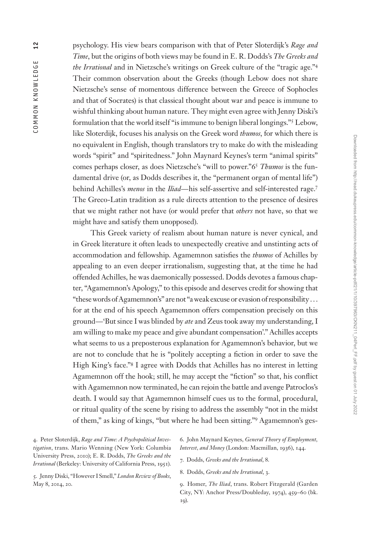psychology. His view bears comparison with that of Peter Sloterdijk's *Rage and Time*, but the origins of both views may be found in E. R. Dodds's *The Greeks and the Irrational* and in Nietzsche's writings on Greek culture of the "tragic age."4 Their common observation about the Greeks (though Lebow does not share Nietzsche's sense of momentous difference between the Greece of Sophocles and that of Socrates) is that classical thought about war and peace is immune to wishful thinking about human nature. They might even agree with Jenny Diski's formulation that the world itself "is immune to benign liberal longings."5 Lebow, like Sloterdijk, focuses his analysis on the Greek word *thumos*, for which there is no equivalent in English, though translators try to make do with the misleading words "spirit" and "spiritedness." John Maynard Keynes's term "animal spirits" comes perhaps closer, as does Nietzsche's "will to power."65 *Thumos* is the fundamental drive (or, as Dodds describes it, the "permanent organ of mental life") behind Achilles's *menos* in the *Iliad*—his self-assertive and self-interested rage.7 The Greco-Latin tradition as a rule directs attention to the presence of desires that we might rather not have (or would prefer that *others* not have, so that we might have and satisfy them unopposed).

This Greek variety of realism about human nature is never cynical, and in Greek literature it often leads to unexpectedly creative and unstinting acts of accommodation and fellowship. Agamemnon satisfies the *thumos* of Achilles by appealing to an even deeper irrationalism, suggesting that, at the time he had offended Achilles, he was daemonically possessed. Dodds devotes a famous chapter, "Agamemnon's Apology," to this episode and deserves credit for showing that "these words of Agamemnon's" are not "a weak excuse or evasion of responsibility . . . for at the end of his speech Agamemnon offers compensation precisely on this ground—'But since I was blinded by *ate* and Zeus took away my understanding, I am willing to make my peace and give abundant compensation'." Achilles accepts what seems to us a preposterous explanation for Agamemnon's behavior, but we are not to conclude that he is "politely accepting a fiction in order to save the High King's face."8 I agree with Dodds that Achilles has no interest in letting Agamemnon off the hook; still, he may accept the "fiction" so that, his conflict with Agamemnon now terminated, he can rejoin the battle and avenge Patroclos's death. I would say that Agamemnon himself cues us to the formal, procedural, or ritual quality of the scene by rising to address the assembly "not in the midst of them," as king of kings, "but where he had been sitting."9 Agamemnon's ges-

4. Peter Sloterdijk, *Rage and Time: A Psychopolitical Investigation*, trans. Mario Wenning (New York: Columbia University Press, 2010); E. R. Dodds, *The Greeks and the Irrational* (Berkeley: University of California Press, 1951).

5. Jenny Diski, "However I Smell," *London Review of Books*, May 8, 2014, 20.

6. John Maynard Keynes, *General Theory of Employment, Interest, and Money* (London: Macmillan, 1936), 144.

- 7. Dodds, *Greeks and the Irrational*, 8.
- 8. Dodds, *Greeks and the Irrational*, 3.

9. Homer, *The Iliad*, trans. Robert Fitzgerald (Garden City, NY: Anchor Press/Doubleday, 1974), 459–60 (bk. 19).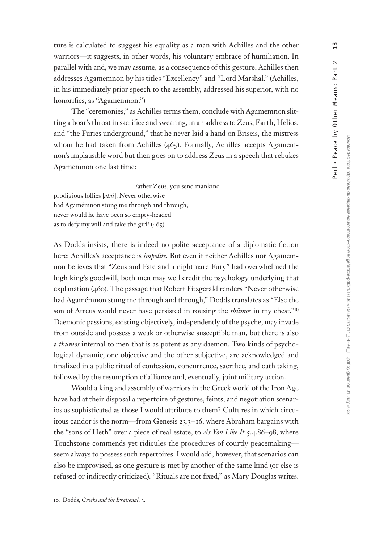Downloaded from http://read.dukeupress.edu/common-knowledge/article-pdf/21/1/10/397963/CKN211\_04Perl\_FF.pdf by guest on 01 July 2022

Downloaded from http://read.dukeupress.edu/common-knowledgelarticle-pdf/21/1/10/397963/CKN211\_04Perl\_FF.pdf by guest on 01 July 2022

ture is calculated to suggest his equality as a man with Achilles and the other warriors—it suggests, in other words, his voluntary embrace of humiliation. In parallel with and, we may assume, as a consequence of this gesture, Achilles then addresses Agamemnon by his titles "Excellency" and "Lord Marshal." (Achilles, in his immediately prior speech to the assembly, addressed his superior, with no honorifics, as "Agamemnon.")

The "ceremonies," as Achilles terms them, conclude with Agamemnon slitting a boar's throat in sacrifice and swearing, in an address to Zeus, Earth, Helios, and "the Furies underground," that he never laid a hand on Briseis, the mistress whom he had taken from Achilles (465). Formally, Achilles accepts Agamemnon's implausible word but then goes on to address Zeus in a speech that rebukes Agamemnon one last time:

Father Zeus, you send mankind

prodigious follies [*atai*]. Never otherwise had Agamémnon stung me through and through; never would he have been so empty-headed as to defy my will and take the girl!  $(465)$ 

As Dodds insists, there is indeed no polite acceptance of a diplomatic fiction here: Achilles's acceptance is *impolite*. But even if neither Achilles nor Agamemnon believes that "Zeus and Fate and a nightmare Fury" had overwhelmed the high king's goodwill, both men may well credit the psychology underlying that explanation (460). The passage that Robert Fitzgerald renders "Never otherwise had Agamémnon stung me through and through," Dodds translates as "Else the son of Atreus would never have persisted in rousing the *thūmos* in my chest."<sup>10</sup> Daemonic passions, existing objectively, independently of the psyche, may invade from outside and possess a weak or otherwise susceptible man, but there is also a *thumos* internal to men that is as potent as any daemon. Two kinds of psychological dynamic, one objective and the other subjective, are acknowledged and finalized in a public ritual of confession, concurrence, sacrifice, and oath taking, followed by the resumption of alliance and, eventually, joint military action.

Would a king and assembly of warriors in the Greek world of the Iron Age have had at their disposal a repertoire of gestures, feints, and negotiation scenarios as sophisticated as those I would attribute to them? Cultures in which circuitous candor is the norm—from Genesis 23.3–16, where Abraham bargains with the "sons of Heth" over a piece of real estate, to *As You Like It* 5.4.86–98, where Touchstone commends yet ridicules the procedures of courtly peacemaking seem always to possess such repertoires. I would add, however, that scenarios can also be improvised, as one gesture is met by another of the same kind (or else is refused or indirectly criticized). "Rituals are not fixed," as Mary Douglas writes: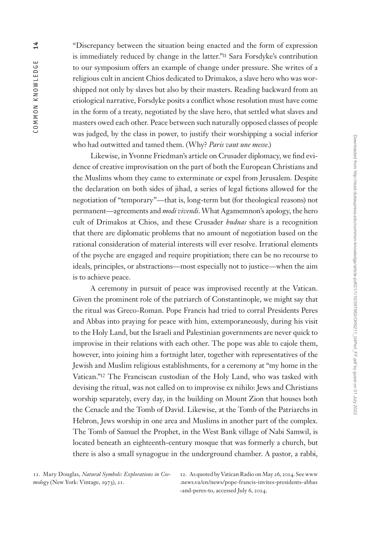"Discrepancy between the situation being enacted and the form of expression is immediately reduced by change in the latter."11 Sara Forsdyke's contribution to our symposium offers an example of change under pressure. She writes of a religious cult in ancient Chios dedicated to Drimakos, a slave hero who was worshipped not only by slaves but also by their masters. Reading backward from an etiological narrative, Forsdyke posits a conflict whose resolution must have come in the form of a treaty, negotiated by the slave hero, that settled what slaves and masters owed each other. Peace between such naturally opposed classes of people was judged, by the class in power, to justify their worshipping a social inferior who had outwitted and tamed them. (Why? *Paris vaut une messe*.)

Likewise, in Yvonne Friedman's article on Crusader diplomacy, we find evidence of creative improvisation on the part of both the European Christians and the Muslims whom they came to exterminate or expel from Jerusalem. Despite the declaration on both sides of jihad, a series of legal fictions allowed for the negotiation of "temporary"—that is, long-term but (for theological reasons) not permanent—agreements and *modi vivendi*. What Agamemnon's apology, the hero cult of Drimakos at Chios, and these Crusader *hudnas* share is a recognition that there are diplomatic problems that no amount of negotiation based on the rational consideration of material interests will ever resolve. Irrational elements of the psyche are engaged and require propitiation; there can be no recourse to ideals, principles, or abstractions—most especially not to justice—when the aim is to achieve peace.

A ceremony in pursuit of peace was improvised recently at the Vatican. Given the prominent role of the patriarch of Constantinople, we might say that the ritual was Greco-Roman. Pope Francis had tried to corral Presidents Peres and Abbas into praying for peace with him, extemporaneously, during his visit to the Holy Land, but the Israeli and Palestinian governments are never quick to improvise in their relations with each other. The pope was able to cajole them, however, into joining him a fortnight later, together with representatives of the Jewish and Muslim religious establishments, for a ceremony at "my home in the Vatican."12 The Franciscan custodian of the Holy Land, who was tasked with devising the ritual, was not called on to improvise ex nihilo: Jews and Christians worship separately, every day, in the building on Mount Zion that houses both the Cenacle and the Tomb of David. Likewise, at the Tomb of the Patriarchs in Hebron, Jews worship in one area and Muslims in another part of the complex. The Tomb of Samuel the Prophet, in the West Bank village of Nabi Samwil, is located beneath an eighteenth-century mosque that was formerly a church, but there is also a small synagogue in the underground chamber. A pastor, a rabbi,

11. Mary Douglas, *Natural Symbols: Explorations in Cosmology* (New York: Vintage, 1973), 21.

12. As quoted by Vatican Radio on May 26, 2014. See www .news.va/en/news/pope-francis-invites-presidents-abbas -and-peres-to, accessed July 6, 2014.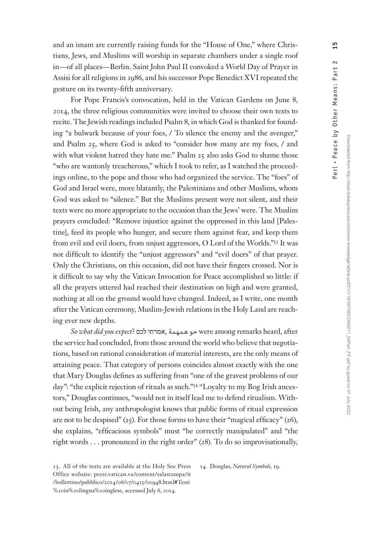and an imam are currently raising funds for the "House of One," where Christians, Jews, and Muslims will worship in separate chambers under a single roof in—of all places—Berlin. Saint John Paul II convoked a World Day of Prayer in Assisi for all religions in 1986, and his successor Pope Benedict XVI repeated the gesture on its twenty-fifth anniversary.

For Pope Francis's convocation, held in the Vatican Gardens on June 8, 2014, the three religious communities were invited to choose their own texts to recite. The Jewish readings included Psalm 8, in which God is thanked for founding "a bulwark because of your foes, / To silence the enemy and the avenger," and Psalm 25, where God is asked to "consider how many are my foes, / and with what violent hatred they hate me." Psalm 25 also asks God to shame those "who are wantonly treacherous," which I took to refer, as I watched the proceedings online, to the pope and those who had organized the service. The "foes" of God and Israel were, more blatantly, the Palestinians and other Muslims, whom God was asked to "silence." But the Muslims present were not silent, and their texts were no more appropriate to the occasion than the Jews' were. The Muslim prayers concluded: "Remove injustice against the oppressed in this land [Palestine], feed its people who hunger, and secure them against fear, and keep them from evil and evil doers, from unjust aggressors, O Lord of the Worlds."13 It was not difficult to identify the "unjust aggressors" and "evil doers" of that prayer. Only the Christians, on this occasion, did not have their fingers crossed. Nor is it difficult to say why the Vatican Invocation for Peace accomplished so little: if all the prayers uttered had reached their destination on high and were granted, nothing at all on the ground would have changed. Indeed, as I write, one month after the Vatican ceremony, Muslim-Jewish relations in the Holy Land are reaching ever new depths.

*So what did you expect*? לכם אמרתי,همهمة حو were among remarks heard, after the service had concluded, from those around the world who believe that negotiations, based on rational consideration of material interests, are the only means of attaining peace. That category of persons coincides almost exactly with the one that Mary Douglas defines as suffering from "one of the gravest problems of our day": "the explicit rejection of rituals as such."14 "Loyalty to my Bog Irish ancestors," Douglas continues, "would not in itself lead me to defend ritualism. Without being Irish, any anthropologist knows that public forms of ritual expression are not to be despised"  $(25)$ . For those forms to have their "magical efficacy"  $(26)$ , she explains, "efficacious symbols" must "be correctly manipulated" and "the right words . . . pronounced in the right order" (28). To do so improvisationally,

<sup>14.</sup> Douglas, *Natural Symbols*, 19.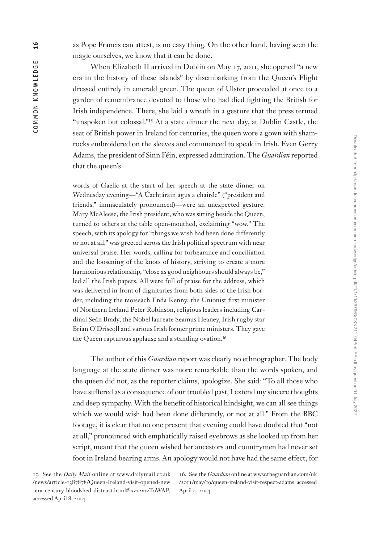When Elizabeth II arrived in Dublin on May 17, 2011, she opened "a new era in the history of these islands" by disembarking from the Queen's Flight dressed entirely in emerald green. The queen of Ulster proceeded at once to a garden of remembrance devoted to those who had died fighting the British for Irish independence. There, she laid a wreath in a gesture that the press termed "unspoken but colossal."15 At a state dinner the next day, at Dublin Castle, the seat of British power in Ireland for centuries, the queen wore a gown with shamrocks embroidered on the sleeves and commenced to speak in Irish. Even Gerry Adams, the president of Sinn Féin, expressed admiration. The *Guardian* reported that the queen's

words of Gaelic at the start of her speech at the state dinner on Wednesday evening—"A Úachtárain agus a chairde" ("president and friends," immaculately pronounced)—were an unexpected gesture. Mary McAleese, the Irish president, who was sitting beside the Queen, turned to others at the table open-mouthed, exclaiming "wow." The speech, with its apology for "things we wish had been done differently or not at all," was greeted across the Irish political spectrum with near universal praise. Her words, calling for forbearance and conciliation and the loosening of the knots of history, striving to create a more harmonious relationship, "close as good neighbours should always be," led all the Irish papers. All were full of praise for the address, which was delivered in front of dignitaries from both sides of the Irish border, including the taoiseach Enda Kenny, the Unionist first minister of Northern Ireland Peter Robinson, religious leaders including Cardinal Seán Brady, the Nobel laureate Seamus Heaney, Irish rugby star Brian O'Driscoll and various Irish former prime ministers. They gave the Queen rapturous applause and a standing ovation.<sup>16</sup>

The author of this *Guardian* report was clearly no ethnographer. The body language at the state dinner was more remarkable than the words spoken, and the queen did not, as the reporter claims, apologize. She said: "To all those who have suffered as a consequence of our troubled past, I extend my sincere thoughts and deep sympathy. With the benefit of historical hindsight, we can all see things which we would wish had been done differently, or not at all." From the BBC footage, it is clear that no one present that evening could have doubted that "not at all," pronounced with emphatically raised eyebrows as she looked up from her script, meant that the queen wished her ancestors and countrymen had never set foot in Ireland bearing arms. An apology would not have had the same effect, for

15. See the *Daily Mail* online at www.dailymail.co.uk /news/article-1387878/Queen-Ireland-visit-opened-new -era-century-bloodshed-distrust.html#ixzz2xrzT0WAP, accessed April 8, 2014.

16. See the *Guardian* online at www.theguardian.com/uk /2011/may/19/queen-ireland-visit-respect-adams, accessed April 4, 2014.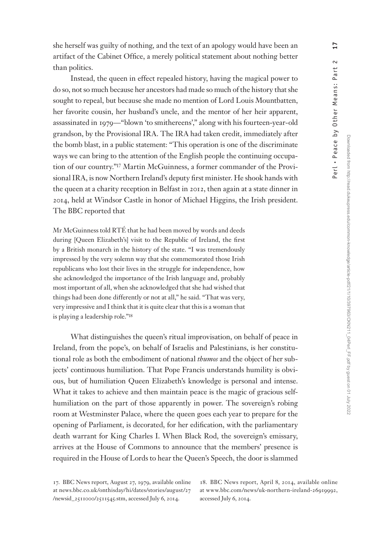she herself was guilty of nothing, and the text of an apology would have been an artifact of the Cabinet Office, a merely political statement about nothing better than politics.

Instead, the queen in effect repealed history, having the magical power to do so, not so much because her ancestors had made so much of the history that she sought to repeal, but because she made no mention of Lord Louis Mountbatten, her favorite cousin, her husband's uncle, and the mentor of her heir apparent, assassinated in 1979—"blown 'to smithereens'," along with his fourteen-year-old grandson, by the Provisional IRA. The IRA had taken credit, immediately after the bomb blast, in a public statement: "This operation is one of the discriminate ways we can bring to the attention of the English people the continuing occupation of our country."17 Martin McGuinness, a former commander of the Provisional IRA, is now Northern Ireland's deputy first minister. He shook hands with the queen at a charity reception in Belfast in 2012, then again at a state dinner in 2014, held at Windsor Castle in honor of Michael Higgins, the Irish president. The BBC reported that

Mr McGuinness told RTÉ that he had been moved by words and deeds during [Queen Elizabeth's] visit to the Republic of Ireland, the first by a British monarch in the history of the state. "I was tremendously impressed by the very solemn way that she commemorated those Irish republicans who lost their lives in the struggle for independence, how she acknowledged the importance of the Irish language and, probably most important of all, when she acknowledged that she had wished that things had been done differently or not at all," he said. "That was very, very impressive and I think that it is quite clear that this is a woman that is playing a leadership role."18

What distinguishes the queen's ritual improvisation, on behalf of peace in Ireland, from the pope's, on behalf of Israelis and Palestinians, is her constitutional role as both the embodiment of national *thumos* and the object of her subjects' continuous humiliation. That Pope Francis understands humility is obvious, but of humiliation Queen Elizabeth's knowledge is personal and intense. What it takes to achieve and then maintain peace is the magic of gracious selfhumiliation on the part of those apparently in power. The sovereign's robing room at Westminster Palace, where the queen goes each year to prepare for the opening of Parliament, is decorated, for her edification, with the parliamentary death warrant for King Charles I. When Black Rod, the sovereign's emissary, arrives at the House of Commons to announce that the members' presence is required in the House of Lords to hear the Queen's Speech, the door is slammed

17. BBC News report, August 27, 1979, available online at news.bbc.co.uk/onthisday/hi/dates/stories/august/27 /newsid\_2511000/2511545.stm, accessed July 6, 2014.

18. BBC News report, April 8, 2014, available online at www.bbc.com/news/uk-northern-ireland-26919992, accessed July 6, 2014.